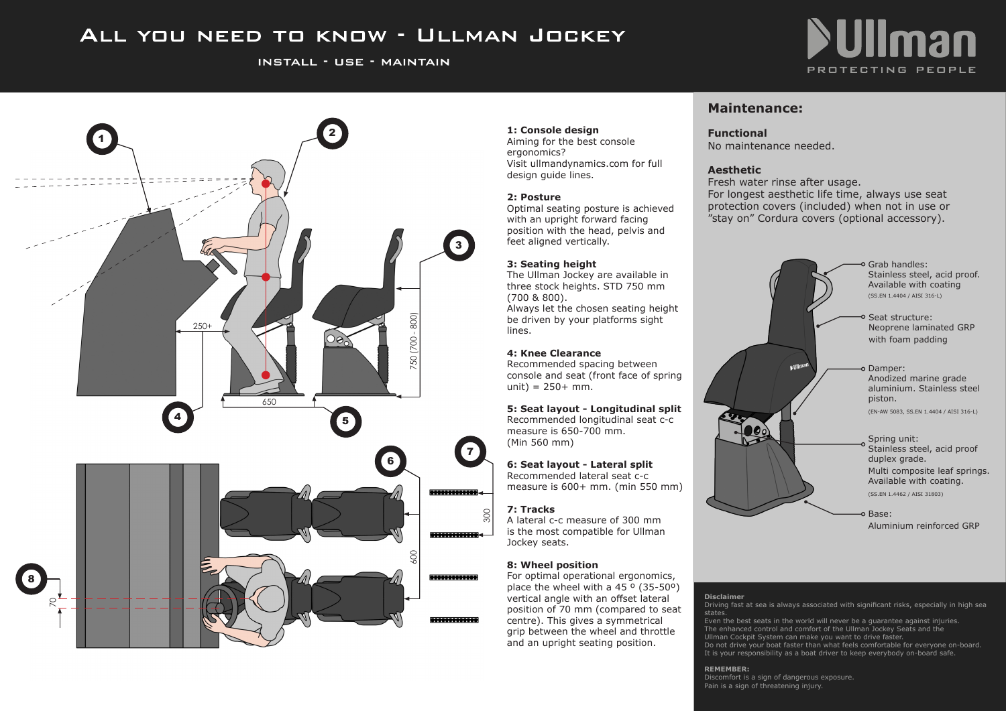# ALL YOU NEED TO KNOW - ULLMAN JOCKEY

# **INSTALL - USE - MAINTAIN**

# **1: Console design**

Aiming for the best console ergonomics? Visit ullmandynamics.com for full design guide lines.

### **2: Posture**

Optimal seating posture is achieved with an upright forward facing position with the head, pelvis and feet aligned vertically.

Recommended spacing between console and seat (front face of spring  $unit) = 250 + mm.$ 

### **3: Seating height**

The Ullman Jockey are available in three stock heights. STD 750 mm (700 & 800). Always let the chosen seating height

be driven by your platforms sight lines.

### **4: Knee Clearance**

# **5: Seat layout - Longitudinal split**

Recommended longitudinal seat c-c measure is 650-700 mm. (Min 560 mm)

# **6: Seat layout - Lateral split**

Recommended lateral seat c-c measure is 600+ mm. (min 550 mm)

# **7: Tracks**

A lateral c-c measure of 300 mm is the most compatible for Ullman Jockey seats.

### **8: Wheel position**



states. Even the best seats in the world will never be a guarantee against injuries. The enhanced control and comfort of the Ullman Jockey Seats and the Ullman Cockpit System can make you want to drive faster. Do not drive your boat faster than what feels comfortable for everyone on-board. It is your responsibility as a boat driver to keep everybody on-board safe.

For optimal operational ergonomics, place the wheel with a  $45\degree$  (35-50<sup>o</sup>) vertical angle with an offset lateral position of 70 mm (compared to seat centre). This gives a symmetrical grip between the wheel and throttle and an upright seating position.

# **Maintenance:**

# **Functional**

Discomfort is a sign of dangerous exposure. Pain is a sign of threatening injury.

No maintenance needed.

## **Aesthetic**

- Fresh water rinse after usage.
- For longest aesthetic life time, always use seat protection covers (included) when not in use or
- "stay on" Cordura covers (optional accessory).



# **Disclaimer**

Driving fast at sea is always associated with significant risks, especially in high sea

**REMEMBER:**

# <u>Ilman</u> PROTECTING PEOPLE